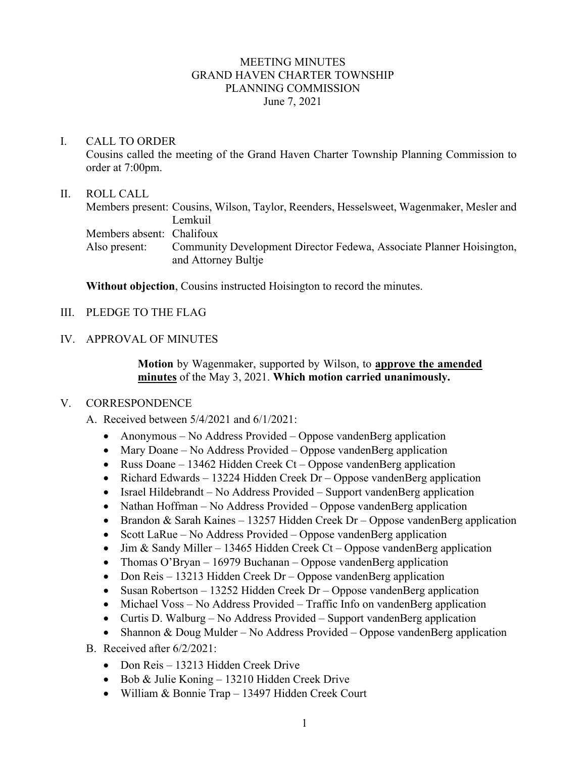## MEETING MINUTES GRAND HAVEN CHARTER TOWNSHIP PLANNING COMMISSION June 7, 2021

## I. CALL TO ORDER

Cousins called the meeting of the Grand Haven Charter Township Planning Commission to order at 7:00pm.

## II. ROLL CALL

Members present: Cousins, Wilson, Taylor, Reenders, Hesselsweet, Wagenmaker, Mesler and Lemkuil Members absent: Chalifoux Also present: Community Development Director Fedewa, Associate Planner Hoisington, and Attorney Bultje

**Without objection**, Cousins instructed Hoisington to record the minutes.

- III. PLEDGE TO THE FLAG
- IV. APPROVAL OF MINUTES

**Motion** by Wagenmaker, supported by Wilson, to **approve the amended minutes** of the May 3, 2021. **Which motion carried unanimously.**

## V. CORRESPONDENCE

A. Received between 5/4/2021 and 6/1/2021:

- Anonymous No Address Provided Oppose vandenBerg application
- Mary Doane No Address Provided Oppose vandenBerg application
- Russ Doane 13462 Hidden Creek Ct Oppose vandenBerg application
- Richard Edwards 13224 Hidden Creek Dr Oppose vandenBerg application
- Israel Hildebrandt No Address Provided Support vandenBerg application
- Nathan Hoffman No Address Provided Oppose vandenBerg application
- Brandon & Sarah Kaines 13257 Hidden Creek Dr Oppose vandenBerg application
- Scott LaRue No Address Provided Oppose vandenBerg application
- Jim & Sandy Miller 13465 Hidden Creek Ct Oppose vandenBerg application
- Thomas O'Bryan 16979 Buchanan Oppose vandenBerg application
- Don Reis 13213 Hidden Creek Dr Oppose vandenBerg application
- Susan Robertson 13252 Hidden Creek Dr Oppose vandenBerg application
- Michael Voss No Address Provided Traffic Info on vandenBerg application
- Curtis D. Walburg No Address Provided Support vandenBerg application
- Shannon & Doug Mulder No Address Provided Oppose vandenBerg application
- B. Received after 6/2/2021:
	- Don Reis 13213 Hidden Creek Drive
	- Bob & Julie Koning 13210 Hidden Creek Drive
	- William & Bonnie Trap 13497 Hidden Creek Court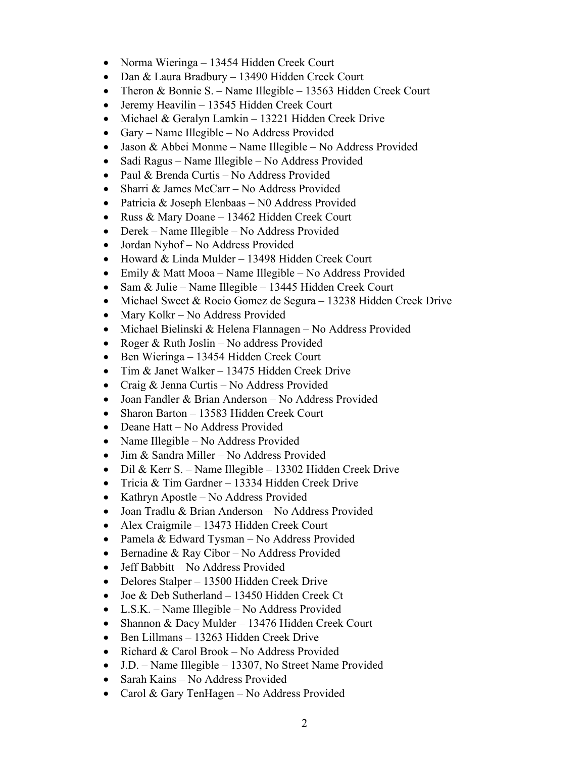- Norma Wieringa 13454 Hidden Creek Court
- Dan & Laura Bradbury 13490 Hidden Creek Court
- Theron & Bonnie S. Name Illegible 13563 Hidden Creek Court
- Jeremy Heavilin 13545 Hidden Creek Court
- Michael & Geralyn Lamkin 13221 Hidden Creek Drive
- Gary Name Illegible No Address Provided
- Jason & Abbei Monme Name Illegible No Address Provided
- Sadi Ragus Name Illegible No Address Provided
- Paul & Brenda Curtis No Address Provided
- Sharri & James McCarr No Address Provided
- Patricia & Joseph Elenbaas N0 Address Provided
- Russ & Mary Doane 13462 Hidden Creek Court
- Derek Name Illegible No Address Provided
- Jordan Nyhof No Address Provided
- Howard & Linda Mulder 13498 Hidden Creek Court
- Emily & Matt Mooa Name Illegible No Address Provided
- Sam & Julie Name Illegible 13445 Hidden Creek Court
- Michael Sweet & Rocio Gomez de Segura 13238 Hidden Creek Drive
- Mary Kolkr No Address Provided
- Michael Bielinski & Helena Flannagen No Address Provided
- Roger & Ruth Joslin No address Provided
- Ben Wieringa 13454 Hidden Creek Court
- Tim & Janet Walker 13475 Hidden Creek Drive
- Craig & Jenna Curtis No Address Provided
- Joan Fandler & Brian Anderson No Address Provided
- Sharon Barton 13583 Hidden Creek Court
- Deane Hatt No Address Provided
- Name Illegible No Address Provided
- Jim & Sandra Miller No Address Provided
- Dil & Kerr S. Name Illegible 13302 Hidden Creek Drive
- Tricia & Tim Gardner 13334 Hidden Creek Drive
- Kathryn Apostle No Address Provided
- Joan Tradlu & Brian Anderson No Address Provided
- Alex Craigmile 13473 Hidden Creek Court
- Pamela & Edward Tysman No Address Provided
- Bernadine & Ray Cibor No Address Provided
- Jeff Babbitt No Address Provided
- Delores Stalper 13500 Hidden Creek Drive
- Joe & Deb Sutherland 13450 Hidden Creek Ct
- L.S.K. Name Illegible No Address Provided
- Shannon & Dacy Mulder 13476 Hidden Creek Court
- Ben Lillmans 13263 Hidden Creek Drive
- Richard & Carol Brook No Address Provided
- J.D. Name Illegible 13307, No Street Name Provided
- Sarah Kains No Address Provided
- Carol & Gary TenHagen No Address Provided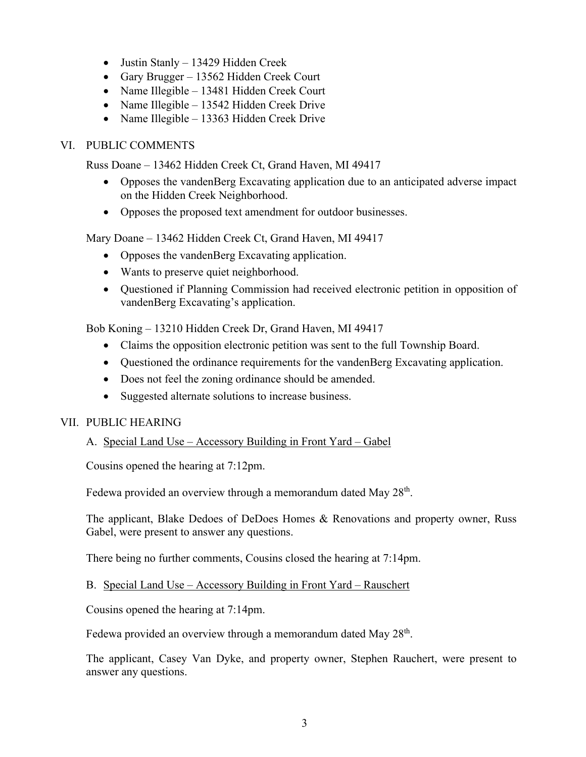- Justin Stanly 13429 Hidden Creek
- Gary Brugger 13562 Hidden Creek Court
- Name Illegible 13481 Hidden Creek Court
- Name Illegible 13542 Hidden Creek Drive
- Name Illegible 13363 Hidden Creek Drive

# VI. PUBLIC COMMENTS

Russ Doane – 13462 Hidden Creek Ct, Grand Haven, MI 49417

- Opposes the vandenBerg Excavating application due to an anticipated adverse impact on the Hidden Creek Neighborhood.
- Opposes the proposed text amendment for outdoor businesses.

Mary Doane – 13462 Hidden Creek Ct, Grand Haven, MI 49417

- Opposes the vandenBerg Excavating application.
- Wants to preserve quiet neighborhood.
- Questioned if Planning Commission had received electronic petition in opposition of vandenBerg Excavating's application.

Bob Koning – 13210 Hidden Creek Dr, Grand Haven, MI 49417

- Claims the opposition electronic petition was sent to the full Township Board.
- Questioned the ordinance requirements for the vandenBerg Excavating application.
- Does not feel the zoning ordinance should be amended.
- Suggested alternate solutions to increase business.

# VII. PUBLIC HEARING

# A. Special Land Use – Accessory Building in Front Yard – Gabel

Cousins opened the hearing at 7:12pm.

Fedewa provided an overview through a memorandum dated May 28<sup>th</sup>.

The applicant, Blake Dedoes of DeDoes Homes & Renovations and property owner, Russ Gabel, were present to answer any questions.

There being no further comments, Cousins closed the hearing at 7:14pm.

## B. Special Land Use – Accessory Building in Front Yard – Rauschert

Cousins opened the hearing at 7:14pm.

Fedewa provided an overview through a memorandum dated May  $28<sup>th</sup>$ .

The applicant, Casey Van Dyke, and property owner, Stephen Rauchert, were present to answer any questions.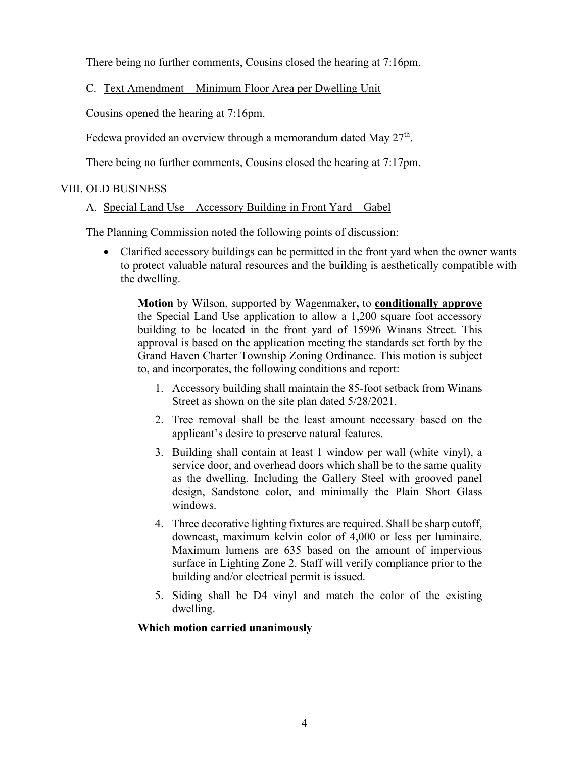There being no further comments, Cousins closed the hearing at 7:16pm.

C. Text Amendment – Minimum Floor Area per Dwelling Unit

Cousins opened the hearing at 7:16pm.

Fedewa provided an overview through a memorandum dated May  $27<sup>th</sup>$ .

There being no further comments, Cousins closed the hearing at 7:17pm.

# VIII. OLD BUSINESS

## A. Special Land Use – Accessory Building in Front Yard – Gabel

The Planning Commission noted the following points of discussion:

• Clarified accessory buildings can be permitted in the front yard when the owner wants to protect valuable natural resources and the building is aesthetically compatible with the dwelling.

**Motion** by Wilson, supported by Wagenmaker**,** to **conditionally approve** the Special Land Use application to allow a 1,200 square foot accessory building to be located in the front yard of 15996 Winans Street. This approval is based on the application meeting the standards set forth by the Grand Haven Charter Township Zoning Ordinance. This motion is subject to, and incorporates, the following conditions and report:

- 1. Accessory building shall maintain the 85-foot setback from Winans Street as shown on the site plan dated 5/28/2021.
- 2. Tree removal shall be the least amount necessary based on the applicant's desire to preserve natural features.
- 3. Building shall contain at least 1 window per wall (white vinyl), a service door, and overhead doors which shall be to the same quality as the dwelling. Including the Gallery Steel with grooved panel design, Sandstone color, and minimally the Plain Short Glass windows.
- 4. Three decorative lighting fixtures are required. Shall be sharp cutoff, downcast, maximum kelvin color of 4,000 or less per luminaire. Maximum lumens are 635 based on the amount of impervious surface in Lighting Zone 2. Staff will verify compliance prior to the building and/or electrical permit is issued.
- 5. Siding shall be D4 vinyl and match the color of the existing dwelling.

# **Which motion carried unanimously**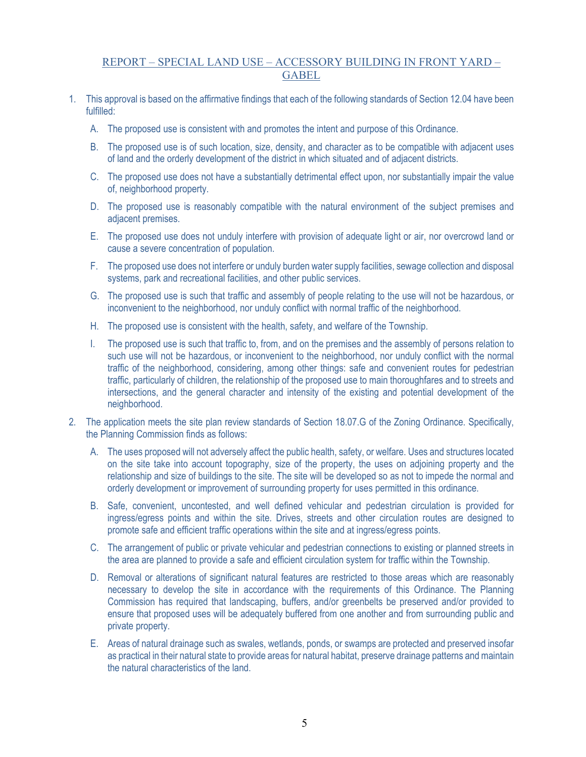## REPORT – SPECIAL LAND USE – ACCESSORY BUILDING IN FRONT YARD – **GABEL**

- 1. This approval is based on the affirmative findings that each of the following standards of Section 12.04 have been fulfilled:
	- A. The proposed use is consistent with and promotes the intent and purpose of this Ordinance.
	- B. The proposed use is of such location, size, density, and character as to be compatible with adjacent uses of land and the orderly development of the district in which situated and of adjacent districts.
	- C. The proposed use does not have a substantially detrimental effect upon, nor substantially impair the value of, neighborhood property.
	- D. The proposed use is reasonably compatible with the natural environment of the subject premises and adjacent premises.
	- E. The proposed use does not unduly interfere with provision of adequate light or air, nor overcrowd land or cause a severe concentration of population.
	- F. The proposed use does not interfere or unduly burden water supply facilities, sewage collection and disposal systems, park and recreational facilities, and other public services.
	- G. The proposed use is such that traffic and assembly of people relating to the use will not be hazardous, or inconvenient to the neighborhood, nor unduly conflict with normal traffic of the neighborhood.
	- H. The proposed use is consistent with the health, safety, and welfare of the Township.
	- I. The proposed use is such that traffic to, from, and on the premises and the assembly of persons relation to such use will not be hazardous, or inconvenient to the neighborhood, nor unduly conflict with the normal traffic of the neighborhood, considering, among other things: safe and convenient routes for pedestrian traffic, particularly of children, the relationship of the proposed use to main thoroughfares and to streets and intersections, and the general character and intensity of the existing and potential development of the neighborhood.
- 2. The application meets the site plan review standards of Section 18.07.G of the Zoning Ordinance. Specifically, the Planning Commission finds as follows:
	- A. The uses proposed will not adversely affect the public health, safety, or welfare. Uses and structures located on the site take into account topography, size of the property, the uses on adjoining property and the relationship and size of buildings to the site. The site will be developed so as not to impede the normal and orderly development or improvement of surrounding property for uses permitted in this ordinance.
	- B. Safe, convenient, uncontested, and well defined vehicular and pedestrian circulation is provided for ingress/egress points and within the site. Drives, streets and other circulation routes are designed to promote safe and efficient traffic operations within the site and at ingress/egress points.
	- C. The arrangement of public or private vehicular and pedestrian connections to existing or planned streets in the area are planned to provide a safe and efficient circulation system for traffic within the Township.
	- D. Removal or alterations of significant natural features are restricted to those areas which are reasonably necessary to develop the site in accordance with the requirements of this Ordinance. The Planning Commission has required that landscaping, buffers, and/or greenbelts be preserved and/or provided to ensure that proposed uses will be adequately buffered from one another and from surrounding public and private property.
	- E. Areas of natural drainage such as swales, wetlands, ponds, or swamps are protected and preserved insofar as practical in their natural state to provide areas for natural habitat, preserve drainage patterns and maintain the natural characteristics of the land.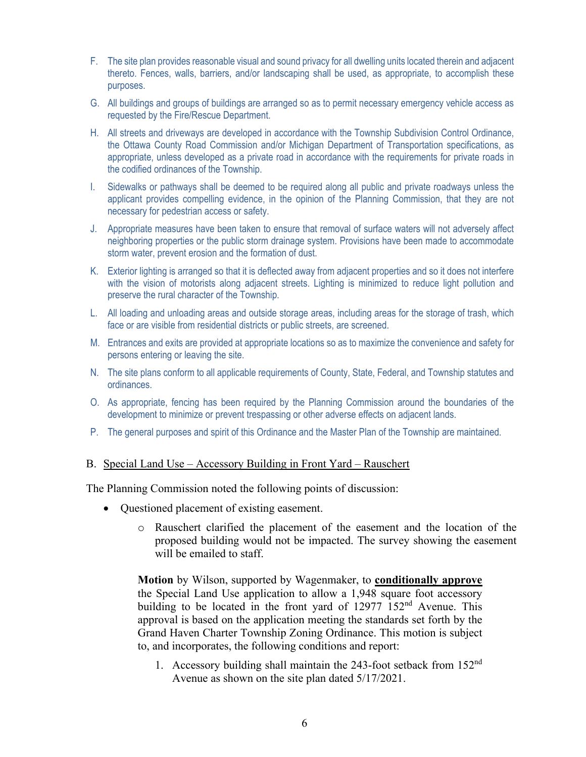- F. The site plan provides reasonable visual and sound privacy for all dwelling units located therein and adjacent thereto. Fences, walls, barriers, and/or landscaping shall be used, as appropriate, to accomplish these purposes.
- G. All buildings and groups of buildings are arranged so as to permit necessary emergency vehicle access as requested by the Fire/Rescue Department.
- H. All streets and driveways are developed in accordance with the Township Subdivision Control Ordinance, the Ottawa County Road Commission and/or Michigan Department of Transportation specifications, as appropriate, unless developed as a private road in accordance with the requirements for private roads in the codified ordinances of the Township.
- I. Sidewalks or pathways shall be deemed to be required along all public and private roadways unless the applicant provides compelling evidence, in the opinion of the Planning Commission, that they are not necessary for pedestrian access or safety.
- J. Appropriate measures have been taken to ensure that removal of surface waters will not adversely affect neighboring properties or the public storm drainage system. Provisions have been made to accommodate storm water, prevent erosion and the formation of dust.
- K. Exterior lighting is arranged so that it is deflected away from adjacent properties and so it does not interfere with the vision of motorists along adjacent streets. Lighting is minimized to reduce light pollution and preserve the rural character of the Township.
- L. All loading and unloading areas and outside storage areas, including areas for the storage of trash, which face or are visible from residential districts or public streets, are screened.
- M. Entrances and exits are provided at appropriate locations so as to maximize the convenience and safety for persons entering or leaving the site.
- N. The site plans conform to all applicable requirements of County, State, Federal, and Township statutes and ordinances.
- O. As appropriate, fencing has been required by the Planning Commission around the boundaries of the development to minimize or prevent trespassing or other adverse effects on adjacent lands.
- P. The general purposes and spirit of this Ordinance and the Master Plan of the Township are maintained.

#### B. Special Land Use – Accessory Building in Front Yard – Rauschert

The Planning Commission noted the following points of discussion:

- Questioned placement of existing easement.
	- o Rauschert clarified the placement of the easement and the location of the proposed building would not be impacted. The survey showing the easement will be emailed to staff.

**Motion** by Wilson, supported by Wagenmaker, to **conditionally approve** the Special Land Use application to allow a 1,948 square foot accessory building to be located in the front yard of  $12977$   $152<sup>nd</sup>$  Avenue. This approval is based on the application meeting the standards set forth by the Grand Haven Charter Township Zoning Ordinance. This motion is subject to, and incorporates, the following conditions and report:

1. Accessory building shall maintain the 243-foot setback from  $152<sup>nd</sup>$ Avenue as shown on the site plan dated 5/17/2021.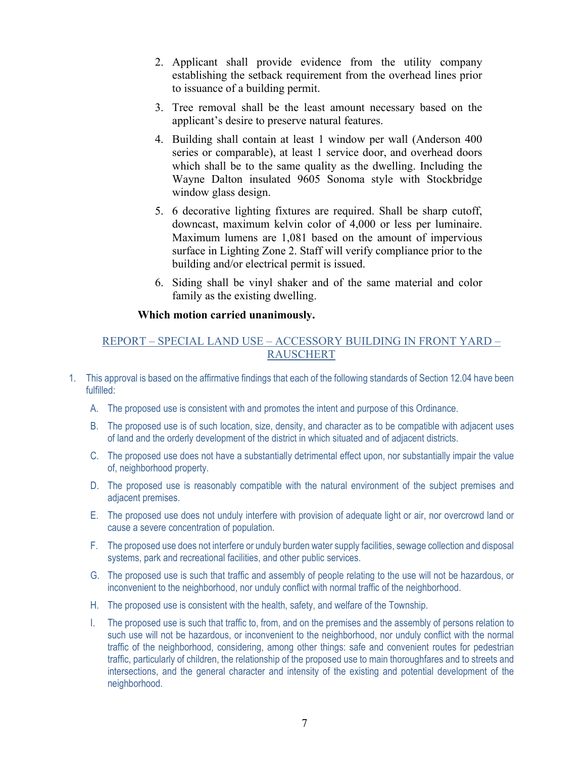- 2. Applicant shall provide evidence from the utility company establishing the setback requirement from the overhead lines prior to issuance of a building permit.
- 3. Tree removal shall be the least amount necessary based on the applicant's desire to preserve natural features.
- 4. Building shall contain at least 1 window per wall (Anderson 400 series or comparable), at least 1 service door, and overhead doors which shall be to the same quality as the dwelling. Including the Wayne Dalton insulated 9605 Sonoma style with Stockbridge window glass design.
- 5. 6 decorative lighting fixtures are required. Shall be sharp cutoff, downcast, maximum kelvin color of 4,000 or less per luminaire. Maximum lumens are 1,081 based on the amount of impervious surface in Lighting Zone 2. Staff will verify compliance prior to the building and/or electrical permit is issued.
- 6. Siding shall be vinyl shaker and of the same material and color family as the existing dwelling.

## **Which motion carried unanimously.**

# REPORT – SPECIAL LAND USE – ACCESSORY BUILDING IN FRONT YARD – **RAUSCHERT**

- 1. This approval is based on the affirmative findings that each of the following standards of Section 12.04 have been fulfilled:
	- A. The proposed use is consistent with and promotes the intent and purpose of this Ordinance.
	- B. The proposed use is of such location, size, density, and character as to be compatible with adjacent uses of land and the orderly development of the district in which situated and of adjacent districts.
	- C. The proposed use does not have a substantially detrimental effect upon, nor substantially impair the value of, neighborhood property.
	- D. The proposed use is reasonably compatible with the natural environment of the subject premises and adjacent premises.
	- E. The proposed use does not unduly interfere with provision of adequate light or air, nor overcrowd land or cause a severe concentration of population.
	- F. The proposed use does not interfere or unduly burden water supply facilities, sewage collection and disposal systems, park and recreational facilities, and other public services.
	- G. The proposed use is such that traffic and assembly of people relating to the use will not be hazardous, or inconvenient to the neighborhood, nor unduly conflict with normal traffic of the neighborhood.
	- H. The proposed use is consistent with the health, safety, and welfare of the Township.
	- I. The proposed use is such that traffic to, from, and on the premises and the assembly of persons relation to such use will not be hazardous, or inconvenient to the neighborhood, nor unduly conflict with the normal traffic of the neighborhood, considering, among other things: safe and convenient routes for pedestrian traffic, particularly of children, the relationship of the proposed use to main thoroughfares and to streets and intersections, and the general character and intensity of the existing and potential development of the neighborhood.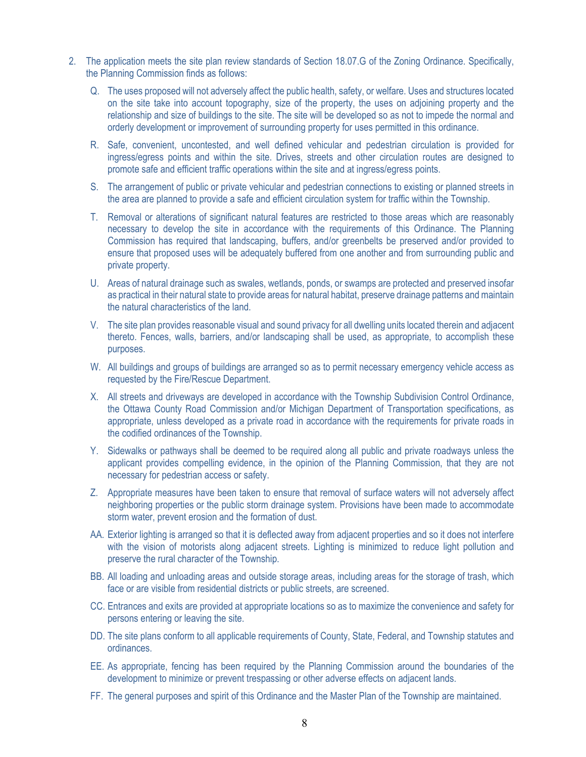- 2. The application meets the site plan review standards of Section 18.07.G of the Zoning Ordinance. Specifically, the Planning Commission finds as follows:
	- Q. The uses proposed will not adversely affect the public health, safety, or welfare. Uses and structures located on the site take into account topography, size of the property, the uses on adjoining property and the relationship and size of buildings to the site. The site will be developed so as not to impede the normal and orderly development or improvement of surrounding property for uses permitted in this ordinance.
	- R. Safe, convenient, uncontested, and well defined vehicular and pedestrian circulation is provided for ingress/egress points and within the site. Drives, streets and other circulation routes are designed to promote safe and efficient traffic operations within the site and at ingress/egress points.
	- S. The arrangement of public or private vehicular and pedestrian connections to existing or planned streets in the area are planned to provide a safe and efficient circulation system for traffic within the Township.
	- T. Removal or alterations of significant natural features are restricted to those areas which are reasonably necessary to develop the site in accordance with the requirements of this Ordinance. The Planning Commission has required that landscaping, buffers, and/or greenbelts be preserved and/or provided to ensure that proposed uses will be adequately buffered from one another and from surrounding public and private property.
	- U. Areas of natural drainage such as swales, wetlands, ponds, or swamps are protected and preserved insofar as practical in their natural state to provide areas for natural habitat, preserve drainage patterns and maintain the natural characteristics of the land.
	- V. The site plan provides reasonable visual and sound privacy for all dwelling units located therein and adjacent thereto. Fences, walls, barriers, and/or landscaping shall be used, as appropriate, to accomplish these purposes.
	- W. All buildings and groups of buildings are arranged so as to permit necessary emergency vehicle access as requested by the Fire/Rescue Department.
	- X. All streets and driveways are developed in accordance with the Township Subdivision Control Ordinance, the Ottawa County Road Commission and/or Michigan Department of Transportation specifications, as appropriate, unless developed as a private road in accordance with the requirements for private roads in the codified ordinances of the Township.
	- Y. Sidewalks or pathways shall be deemed to be required along all public and private roadways unless the applicant provides compelling evidence, in the opinion of the Planning Commission, that they are not necessary for pedestrian access or safety.
	- Z. Appropriate measures have been taken to ensure that removal of surface waters will not adversely affect neighboring properties or the public storm drainage system. Provisions have been made to accommodate storm water, prevent erosion and the formation of dust.
	- AA. Exterior lighting is arranged so that it is deflected away from adjacent properties and so it does not interfere with the vision of motorists along adjacent streets. Lighting is minimized to reduce light pollution and preserve the rural character of the Township.
	- BB. All loading and unloading areas and outside storage areas, including areas for the storage of trash, which face or are visible from residential districts or public streets, are screened.
	- CC. Entrances and exits are provided at appropriate locations so as to maximize the convenience and safety for persons entering or leaving the site.
	- DD. The site plans conform to all applicable requirements of County, State, Federal, and Township statutes and ordinances.
	- EE. As appropriate, fencing has been required by the Planning Commission around the boundaries of the development to minimize or prevent trespassing or other adverse effects on adjacent lands.
	- FF. The general purposes and spirit of this Ordinance and the Master Plan of the Township are maintained.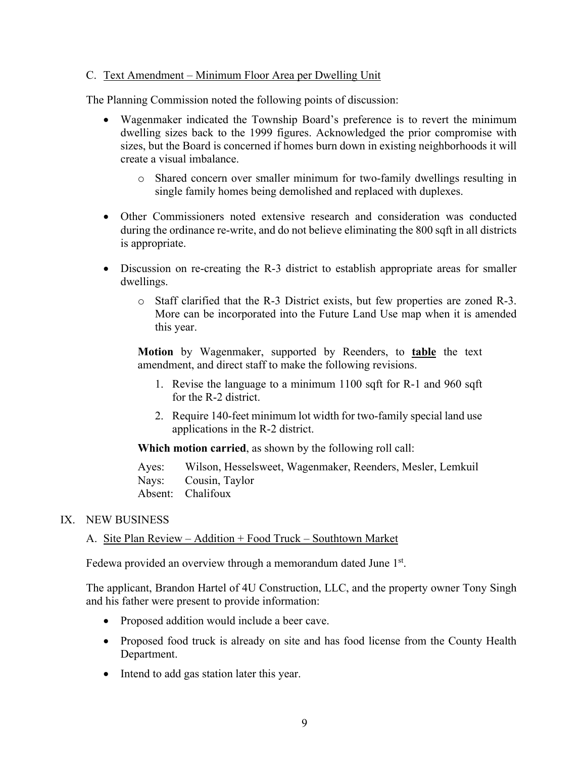## C. Text Amendment – Minimum Floor Area per Dwelling Unit

The Planning Commission noted the following points of discussion:

- Wagenmaker indicated the Township Board's preference is to revert the minimum dwelling sizes back to the 1999 figures. Acknowledged the prior compromise with sizes, but the Board is concerned if homes burn down in existing neighborhoods it will create a visual imbalance.
	- o Shared concern over smaller minimum for two-family dwellings resulting in single family homes being demolished and replaced with duplexes.
- Other Commissioners noted extensive research and consideration was conducted during the ordinance re-write, and do not believe eliminating the 800 sqft in all districts is appropriate.
- Discussion on re-creating the R-3 district to establish appropriate areas for smaller dwellings.
	- o Staff clarified that the R-3 District exists, but few properties are zoned R-3. More can be incorporated into the Future Land Use map when it is amended this year.

**Motion** by Wagenmaker, supported by Reenders, to **table** the text amendment, and direct staff to make the following revisions.

- 1. Revise the language to a minimum 1100 sqft for R-1 and 960 sqft for the R-2 district.
- 2. Require 140-feet minimum lot width for two-family special land use applications in the R-2 district.

**Which motion carried**, as shown by the following roll call:

Ayes: Wilson, Hesselsweet, Wagenmaker, Reenders, Mesler, Lemkuil Nays: Cousin, Taylor Absent: Chalifoux

## IX. NEW BUSINESS

#### A. Site Plan Review – Addition + Food Truck – Southtown Market

Fedewa provided an overview through a memorandum dated June 1<sup>st</sup>.

The applicant, Brandon Hartel of 4U Construction, LLC, and the property owner Tony Singh and his father were present to provide information:

- Proposed addition would include a beer cave.
- Proposed food truck is already on site and has food license from the County Health Department.
- Intend to add gas station later this year.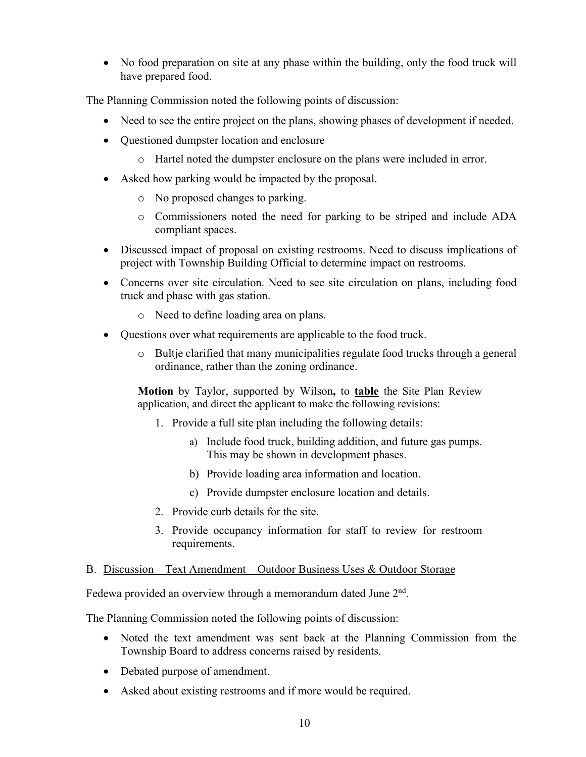• No food preparation on site at any phase within the building, only the food truck will have prepared food.

The Planning Commission noted the following points of discussion:

- Need to see the entire project on the plans, showing phases of development if needed.
- Questioned dumpster location and enclosure
	- o Hartel noted the dumpster enclosure on the plans were included in error.
- Asked how parking would be impacted by the proposal.
	- o No proposed changes to parking.
	- o Commissioners noted the need for parking to be striped and include ADA compliant spaces.
- Discussed impact of proposal on existing restrooms. Need to discuss implications of project with Township Building Official to determine impact on restrooms.
- Concerns over site circulation. Need to see site circulation on plans, including food truck and phase with gas station.
	- o Need to define loading area on plans.
- Questions over what requirements are applicable to the food truck.
	- $\circ$  Bultje clarified that many municipalities regulate food trucks through a general ordinance, rather than the zoning ordinance.

**Motion** by Taylor, supported by Wilson**,** to **table** the Site Plan Review application, and direct the applicant to make the following revisions:

- 1. Provide a full site plan including the following details:
	- a) Include food truck, building addition, and future gas pumps. This may be shown in development phases.
	- b) Provide loading area information and location.
	- c) Provide dumpster enclosure location and details.
- 2. Provide curb details for the site.
- 3. Provide occupancy information for staff to review for restroom requirements.

## B. Discussion – Text Amendment – Outdoor Business Uses & Outdoor Storage

Fedewa provided an overview through a memorandum dated June 2<sup>nd</sup>.

The Planning Commission noted the following points of discussion:

- Noted the text amendment was sent back at the Planning Commission from the Township Board to address concerns raised by residents.
- Debated purpose of amendment.
- Asked about existing restrooms and if more would be required.